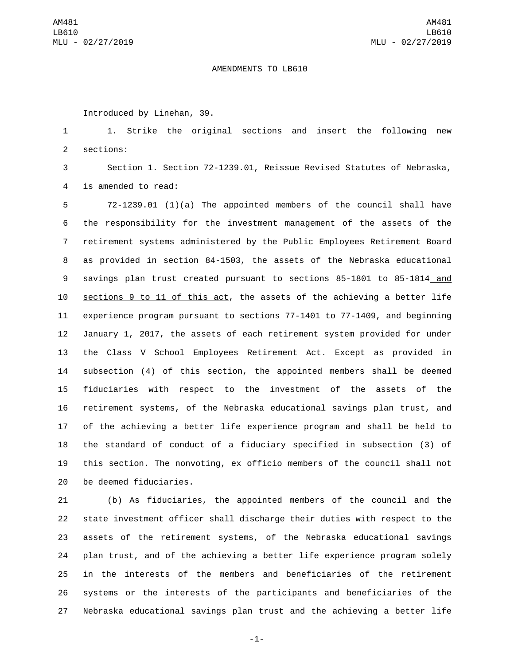## AMENDMENTS TO LB610

Introduced by Linehan, 39.

 1. Strike the original sections and insert the following new 2 sections:

 Section 1. Section 72-1239.01, Reissue Revised Statutes of Nebraska, 4 is amended to read:

 72-1239.01 (1)(a) The appointed members of the council shall have the responsibility for the investment management of the assets of the retirement systems administered by the Public Employees Retirement Board as provided in section 84-1503, the assets of the Nebraska educational savings plan trust created pursuant to sections 85-1801 to 85-1814 and sections 9 to 11 of this act, the assets of the achieving a better life experience program pursuant to sections 77-1401 to 77-1409, and beginning January 1, 2017, the assets of each retirement system provided for under the Class V School Employees Retirement Act. Except as provided in subsection (4) of this section, the appointed members shall be deemed fiduciaries with respect to the investment of the assets of the retirement systems, of the Nebraska educational savings plan trust, and of the achieving a better life experience program and shall be held to the standard of conduct of a fiduciary specified in subsection (3) of this section. The nonvoting, ex officio members of the council shall not 20 be deemed fiduciaries.

 (b) As fiduciaries, the appointed members of the council and the state investment officer shall discharge their duties with respect to the assets of the retirement systems, of the Nebraska educational savings plan trust, and of the achieving a better life experience program solely in the interests of the members and beneficiaries of the retirement systems or the interests of the participants and beneficiaries of the Nebraska educational savings plan trust and the achieving a better life

-1-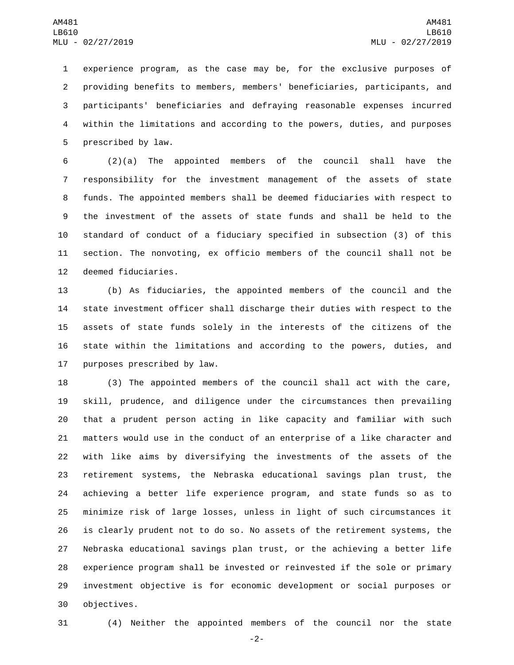experience program, as the case may be, for the exclusive purposes of providing benefits to members, members' beneficiaries, participants, and participants' beneficiaries and defraying reasonable expenses incurred within the limitations and according to the powers, duties, and purposes 5 prescribed by law.

 (2)(a) The appointed members of the council shall have the responsibility for the investment management of the assets of state funds. The appointed members shall be deemed fiduciaries with respect to the investment of the assets of state funds and shall be held to the standard of conduct of a fiduciary specified in subsection (3) of this section. The nonvoting, ex officio members of the council shall not be 12 deemed fiduciaries.

 (b) As fiduciaries, the appointed members of the council and the state investment officer shall discharge their duties with respect to the assets of state funds solely in the interests of the citizens of the state within the limitations and according to the powers, duties, and 17 purposes prescribed by law.

 (3) The appointed members of the council shall act with the care, skill, prudence, and diligence under the circumstances then prevailing that a prudent person acting in like capacity and familiar with such matters would use in the conduct of an enterprise of a like character and with like aims by diversifying the investments of the assets of the retirement systems, the Nebraska educational savings plan trust, the achieving a better life experience program, and state funds so as to minimize risk of large losses, unless in light of such circumstances it is clearly prudent not to do so. No assets of the retirement systems, the Nebraska educational savings plan trust, or the achieving a better life experience program shall be invested or reinvested if the sole or primary investment objective is for economic development or social purposes or 30 objectives.

(4) Neither the appointed members of the council nor the state

-2-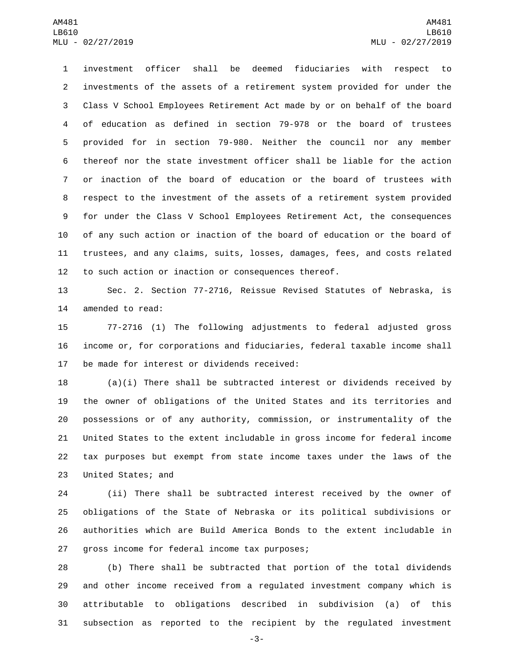investment officer shall be deemed fiduciaries with respect to investments of the assets of a retirement system provided for under the Class V School Employees Retirement Act made by or on behalf of the board of education as defined in section 79-978 or the board of trustees provided for in section 79-980. Neither the council nor any member thereof nor the state investment officer shall be liable for the action or inaction of the board of education or the board of trustees with respect to the investment of the assets of a retirement system provided for under the Class V School Employees Retirement Act, the consequences of any such action or inaction of the board of education or the board of trustees, and any claims, suits, losses, damages, fees, and costs related to such action or inaction or consequences thereof.

 Sec. 2. Section 77-2716, Reissue Revised Statutes of Nebraska, is 14 amended to read:

 77-2716 (1) The following adjustments to federal adjusted gross income or, for corporations and fiduciaries, federal taxable income shall 17 be made for interest or dividends received:

 (a)(i) There shall be subtracted interest or dividends received by the owner of obligations of the United States and its territories and possessions or of any authority, commission, or instrumentality of the United States to the extent includable in gross income for federal income tax purposes but exempt from state income taxes under the laws of the 23 United States; and

 (ii) There shall be subtracted interest received by the owner of obligations of the State of Nebraska or its political subdivisions or authorities which are Build America Bonds to the extent includable in 27 gross income for federal income tax purposes;

 (b) There shall be subtracted that portion of the total dividends and other income received from a regulated investment company which is attributable to obligations described in subdivision (a) of this subsection as reported to the recipient by the regulated investment

-3-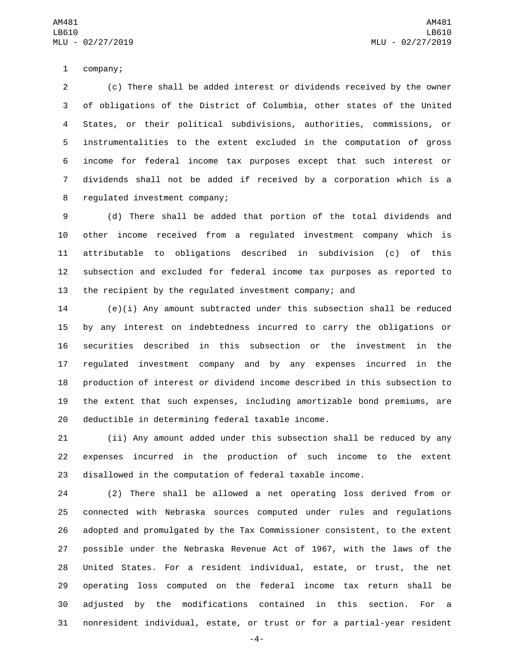1 company;

 (c) There shall be added interest or dividends received by the owner of obligations of the District of Columbia, other states of the United States, or their political subdivisions, authorities, commissions, or instrumentalities to the extent excluded in the computation of gross income for federal income tax purposes except that such interest or dividends shall not be added if received by a corporation which is a 8 regulated investment company;

 (d) There shall be added that portion of the total dividends and other income received from a regulated investment company which is attributable to obligations described in subdivision (c) of this subsection and excluded for federal income tax purposes as reported to the recipient by the regulated investment company; and

 (e)(i) Any amount subtracted under this subsection shall be reduced by any interest on indebtedness incurred to carry the obligations or securities described in this subsection or the investment in the regulated investment company and by any expenses incurred in the production of interest or dividend income described in this subsection to the extent that such expenses, including amortizable bond premiums, are 20 deductible in determining federal taxable income.

 (ii) Any amount added under this subsection shall be reduced by any expenses incurred in the production of such income to the extent disallowed in the computation of federal taxable income.

 (2) There shall be allowed a net operating loss derived from or connected with Nebraska sources computed under rules and regulations adopted and promulgated by the Tax Commissioner consistent, to the extent possible under the Nebraska Revenue Act of 1967, with the laws of the United States. For a resident individual, estate, or trust, the net operating loss computed on the federal income tax return shall be adjusted by the modifications contained in this section. For a nonresident individual, estate, or trust or for a partial-year resident

-4-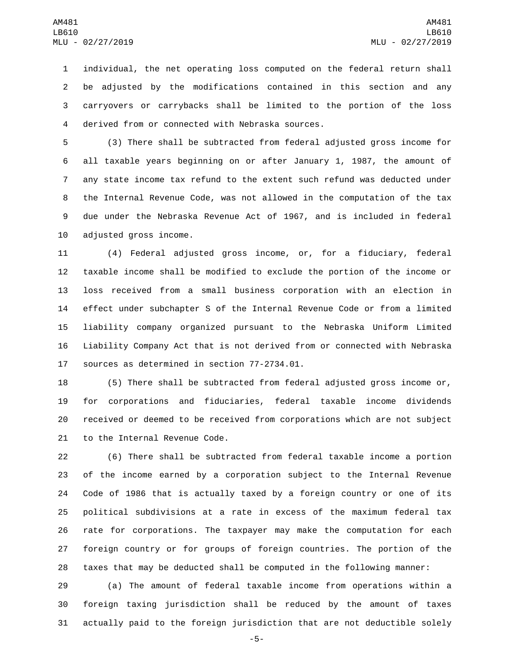individual, the net operating loss computed on the federal return shall be adjusted by the modifications contained in this section and any carryovers or carrybacks shall be limited to the portion of the loss derived from or connected with Nebraska sources.4

 (3) There shall be subtracted from federal adjusted gross income for all taxable years beginning on or after January 1, 1987, the amount of any state income tax refund to the extent such refund was deducted under the Internal Revenue Code, was not allowed in the computation of the tax due under the Nebraska Revenue Act of 1967, and is included in federal 10 adjusted gross income.

 (4) Federal adjusted gross income, or, for a fiduciary, federal taxable income shall be modified to exclude the portion of the income or loss received from a small business corporation with an election in effect under subchapter S of the Internal Revenue Code or from a limited liability company organized pursuant to the Nebraska Uniform Limited Liability Company Act that is not derived from or connected with Nebraska 17 sources as determined in section 77-2734.01.

 (5) There shall be subtracted from federal adjusted gross income or, for corporations and fiduciaries, federal taxable income dividends received or deemed to be received from corporations which are not subject 21 to the Internal Revenue Code.

 (6) There shall be subtracted from federal taxable income a portion of the income earned by a corporation subject to the Internal Revenue Code of 1986 that is actually taxed by a foreign country or one of its political subdivisions at a rate in excess of the maximum federal tax rate for corporations. The taxpayer may make the computation for each foreign country or for groups of foreign countries. The portion of the taxes that may be deducted shall be computed in the following manner:

 (a) The amount of federal taxable income from operations within a foreign taxing jurisdiction shall be reduced by the amount of taxes actually paid to the foreign jurisdiction that are not deductible solely

-5-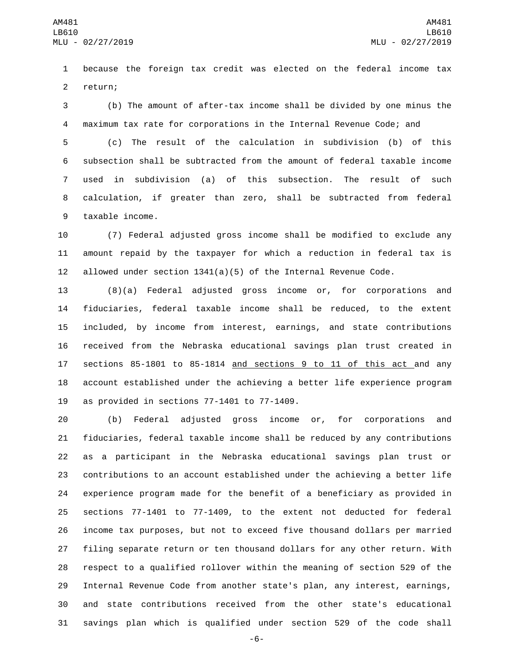because the foreign tax credit was elected on the federal income tax 2 return;

 (b) The amount of after-tax income shall be divided by one minus the maximum tax rate for corporations in the Internal Revenue Code; and

 (c) The result of the calculation in subdivision (b) of this subsection shall be subtracted from the amount of federal taxable income used in subdivision (a) of this subsection. The result of such calculation, if greater than zero, shall be subtracted from federal 9 taxable income.

 (7) Federal adjusted gross income shall be modified to exclude any amount repaid by the taxpayer for which a reduction in federal tax is 12 allowed under section  $1341(a)(5)$  of the Internal Revenue Code.

 (8)(a) Federal adjusted gross income or, for corporations and fiduciaries, federal taxable income shall be reduced, to the extent included, by income from interest, earnings, and state contributions received from the Nebraska educational savings plan trust created in sections 85-1801 to 85-1814 and sections 9 to 11 of this act and any account established under the achieving a better life experience program 19 as provided in sections  $77-1401$  to  $77-1409$ .

 (b) Federal adjusted gross income or, for corporations and fiduciaries, federal taxable income shall be reduced by any contributions as a participant in the Nebraska educational savings plan trust or contributions to an account established under the achieving a better life experience program made for the benefit of a beneficiary as provided in sections 77-1401 to 77-1409, to the extent not deducted for federal income tax purposes, but not to exceed five thousand dollars per married filing separate return or ten thousand dollars for any other return. With respect to a qualified rollover within the meaning of section 529 of the Internal Revenue Code from another state's plan, any interest, earnings, and state contributions received from the other state's educational savings plan which is qualified under section 529 of the code shall

-6-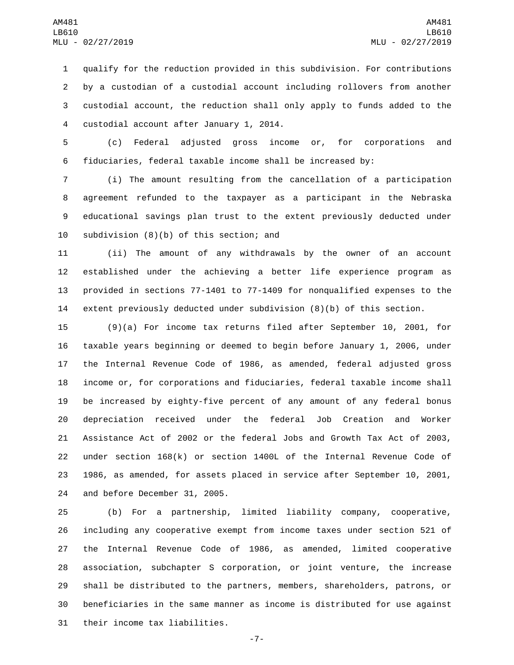qualify for the reduction provided in this subdivision. For contributions by a custodian of a custodial account including rollovers from another custodial account, the reduction shall only apply to funds added to the 4 custodial account after January 1, 2014.

 (c) Federal adjusted gross income or, for corporations and fiduciaries, federal taxable income shall be increased by:

 (i) The amount resulting from the cancellation of a participation agreement refunded to the taxpayer as a participant in the Nebraska educational savings plan trust to the extent previously deducted under 10 subdivision  $(8)(b)$  of this section; and

 (ii) The amount of any withdrawals by the owner of an account established under the achieving a better life experience program as provided in sections 77-1401 to 77-1409 for nonqualified expenses to the extent previously deducted under subdivision (8)(b) of this section.

 (9)(a) For income tax returns filed after September 10, 2001, for taxable years beginning or deemed to begin before January 1, 2006, under the Internal Revenue Code of 1986, as amended, federal adjusted gross income or, for corporations and fiduciaries, federal taxable income shall be increased by eighty-five percent of any amount of any federal bonus depreciation received under the federal Job Creation and Worker Assistance Act of 2002 or the federal Jobs and Growth Tax Act of 2003, under section 168(k) or section 1400L of the Internal Revenue Code of 1986, as amended, for assets placed in service after September 10, 2001, 24 and before December 31, 2005.

 (b) For a partnership, limited liability company, cooperative, including any cooperative exempt from income taxes under section 521 of the Internal Revenue Code of 1986, as amended, limited cooperative association, subchapter S corporation, or joint venture, the increase shall be distributed to the partners, members, shareholders, patrons, or beneficiaries in the same manner as income is distributed for use against 31 their income tax liabilities.

-7-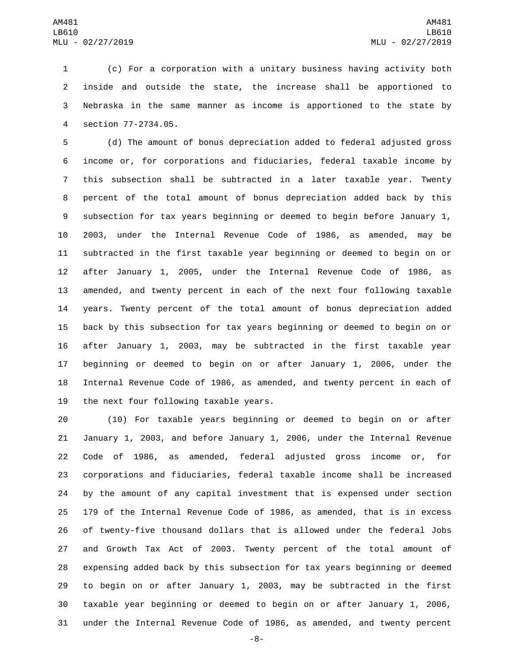(c) For a corporation with a unitary business having activity both inside and outside the state, the increase shall be apportioned to Nebraska in the same manner as income is apportioned to the state by section 77-2734.05.4

 (d) The amount of bonus depreciation added to federal adjusted gross income or, for corporations and fiduciaries, federal taxable income by this subsection shall be subtracted in a later taxable year. Twenty percent of the total amount of bonus depreciation added back by this subsection for tax years beginning or deemed to begin before January 1, 2003, under the Internal Revenue Code of 1986, as amended, may be subtracted in the first taxable year beginning or deemed to begin on or after January 1, 2005, under the Internal Revenue Code of 1986, as amended, and twenty percent in each of the next four following taxable years. Twenty percent of the total amount of bonus depreciation added back by this subsection for tax years beginning or deemed to begin on or after January 1, 2003, may be subtracted in the first taxable year beginning or deemed to begin on or after January 1, 2006, under the Internal Revenue Code of 1986, as amended, and twenty percent in each of 19 the next four following taxable years.

 (10) For taxable years beginning or deemed to begin on or after January 1, 2003, and before January 1, 2006, under the Internal Revenue Code of 1986, as amended, federal adjusted gross income or, for corporations and fiduciaries, federal taxable income shall be increased by the amount of any capital investment that is expensed under section 179 of the Internal Revenue Code of 1986, as amended, that is in excess of twenty-five thousand dollars that is allowed under the federal Jobs and Growth Tax Act of 2003. Twenty percent of the total amount of expensing added back by this subsection for tax years beginning or deemed to begin on or after January 1, 2003, may be subtracted in the first taxable year beginning or deemed to begin on or after January 1, 2006, under the Internal Revenue Code of 1986, as amended, and twenty percent

-8-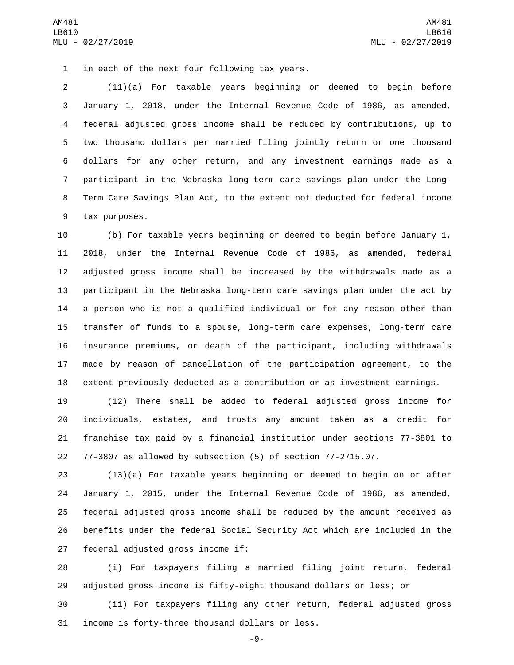1 in each of the next four following tax years.

 (11)(a) For taxable years beginning or deemed to begin before January 1, 2018, under the Internal Revenue Code of 1986, as amended, federal adjusted gross income shall be reduced by contributions, up to two thousand dollars per married filing jointly return or one thousand dollars for any other return, and any investment earnings made as a participant in the Nebraska long-term care savings plan under the Long- Term Care Savings Plan Act, to the extent not deducted for federal income 9 tax purposes.

 (b) For taxable years beginning or deemed to begin before January 1, 2018, under the Internal Revenue Code of 1986, as amended, federal adjusted gross income shall be increased by the withdrawals made as a participant in the Nebraska long-term care savings plan under the act by a person who is not a qualified individual or for any reason other than transfer of funds to a spouse, long-term care expenses, long-term care insurance premiums, or death of the participant, including withdrawals made by reason of cancellation of the participation agreement, to the extent previously deducted as a contribution or as investment earnings.

 (12) There shall be added to federal adjusted gross income for individuals, estates, and trusts any amount taken as a credit for franchise tax paid by a financial institution under sections 77-3801 to 77-3807 as allowed by subsection (5) of section 77-2715.07.

 (13)(a) For taxable years beginning or deemed to begin on or after January 1, 2015, under the Internal Revenue Code of 1986, as amended, federal adjusted gross income shall be reduced by the amount received as benefits under the federal Social Security Act which are included in the 27 federal adjusted gross income if:

 (i) For taxpayers filing a married filing joint return, federal adjusted gross income is fifty-eight thousand dollars or less; or

 (ii) For taxpayers filing any other return, federal adjusted gross 31 income is forty-three thousand dollars or less.

-9-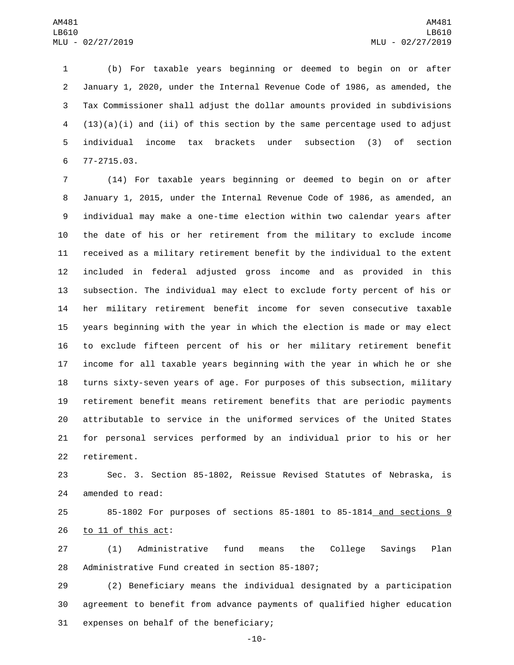(b) For taxable years beginning or deemed to begin on or after January 1, 2020, under the Internal Revenue Code of 1986, as amended, the Tax Commissioner shall adjust the dollar amounts provided in subdivisions (13)(a)(i) and (ii) of this section by the same percentage used to adjust individual income tax brackets under subsection (3) of section 77-2715.03.6

 (14) For taxable years beginning or deemed to begin on or after January 1, 2015, under the Internal Revenue Code of 1986, as amended, an individual may make a one-time election within two calendar years after the date of his or her retirement from the military to exclude income received as a military retirement benefit by the individual to the extent included in federal adjusted gross income and as provided in this subsection. The individual may elect to exclude forty percent of his or her military retirement benefit income for seven consecutive taxable years beginning with the year in which the election is made or may elect to exclude fifteen percent of his or her military retirement benefit income for all taxable years beginning with the year in which he or she turns sixty-seven years of age. For purposes of this subsection, military retirement benefit means retirement benefits that are periodic payments attributable to service in the uniformed services of the United States for personal services performed by an individual prior to his or her 22 retirement.

 Sec. 3. Section 85-1802, Reissue Revised Statutes of Nebraska, is 24 amended to read:

 85-1802 For purposes of sections 85-1801 to 85-1814 and sections 9 26 to 11 of this act:

 (1) Administrative fund means the College Savings Plan 28 Administrative Fund created in section 85-1807;

 (2) Beneficiary means the individual designated by a participation agreement to benefit from advance payments of qualified higher education 31 expenses on behalf of the beneficiary;

-10-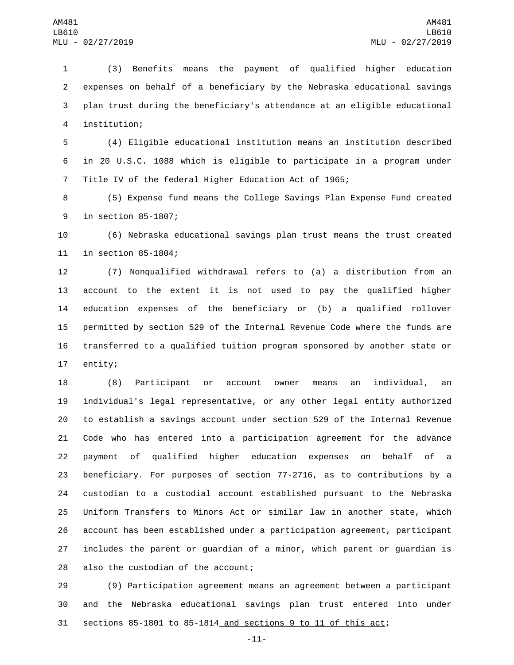(3) Benefits means the payment of qualified higher education expenses on behalf of a beneficiary by the Nebraska educational savings plan trust during the beneficiary's attendance at an eligible educational institution;4

 (4) Eligible educational institution means an institution described in 20 U.S.C. 1088 which is eligible to participate in a program under Title IV of the federal Higher Education Act of 1965;

 (5) Expense fund means the College Savings Plan Expense Fund created 9 in section 85-1807;

 (6) Nebraska educational savings plan trust means the trust created 11 in section 85-1804;

 (7) Nonqualified withdrawal refers to (a) a distribution from an account to the extent it is not used to pay the qualified higher education expenses of the beneficiary or (b) a qualified rollover permitted by section 529 of the Internal Revenue Code where the funds are transferred to a qualified tuition program sponsored by another state or 17 entity;

 (8) Participant or account owner means an individual, an individual's legal representative, or any other legal entity authorized to establish a savings account under section 529 of the Internal Revenue Code who has entered into a participation agreement for the advance payment of qualified higher education expenses on behalf of a beneficiary. For purposes of section 77-2716, as to contributions by a custodian to a custodial account established pursuant to the Nebraska Uniform Transfers to Minors Act or similar law in another state, which account has been established under a participation agreement, participant includes the parent or guardian of a minor, which parent or guardian is 28 also the custodian of the account;

 (9) Participation agreement means an agreement between a participant and the Nebraska educational savings plan trust entered into under sections 85-1801 to 85-1814 and sections 9 to 11 of this act;

-11-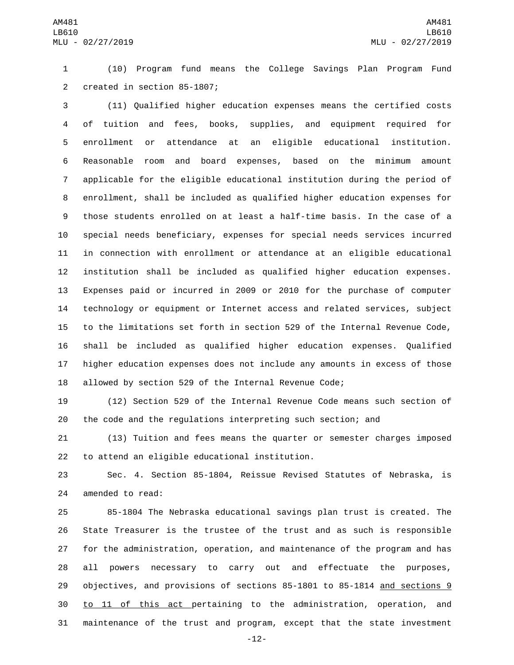(10) Program fund means the College Savings Plan Program Fund 2 created in section 85-1807;

 (11) Qualified higher education expenses means the certified costs of tuition and fees, books, supplies, and equipment required for enrollment or attendance at an eligible educational institution. Reasonable room and board expenses, based on the minimum amount applicable for the eligible educational institution during the period of enrollment, shall be included as qualified higher education expenses for those students enrolled on at least a half-time basis. In the case of a special needs beneficiary, expenses for special needs services incurred in connection with enrollment or attendance at an eligible educational institution shall be included as qualified higher education expenses. Expenses paid or incurred in 2009 or 2010 for the purchase of computer technology or equipment or Internet access and related services, subject to the limitations set forth in section 529 of the Internal Revenue Code, shall be included as qualified higher education expenses. Qualified higher education expenses does not include any amounts in excess of those allowed by section 529 of the Internal Revenue Code;

 (12) Section 529 of the Internal Revenue Code means such section of the code and the regulations interpreting such section; and

 (13) Tuition and fees means the quarter or semester charges imposed 22 to attend an eligible educational institution.

 Sec. 4. Section 85-1804, Reissue Revised Statutes of Nebraska, is 24 amended to read:

 85-1804 The Nebraska educational savings plan trust is created. The State Treasurer is the trustee of the trust and as such is responsible for the administration, operation, and maintenance of the program and has all powers necessary to carry out and effectuate the purposes, 29 objectives, and provisions of sections 85-1801 to 85-1814 and sections 9 30 to 11 of this act pertaining to the administration, operation, and maintenance of the trust and program, except that the state investment

-12-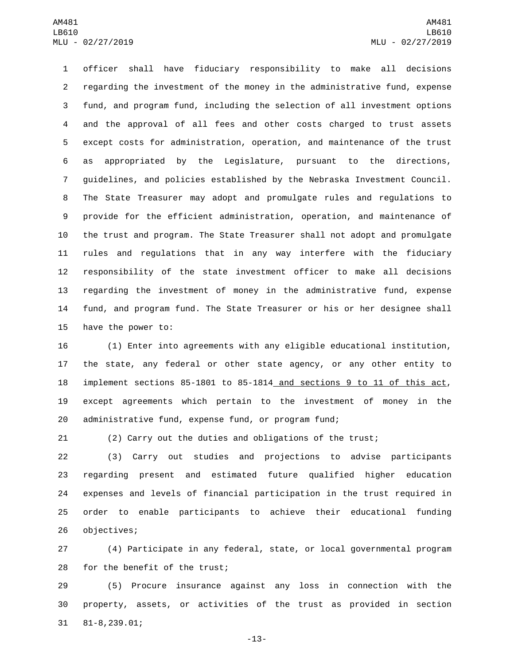officer shall have fiduciary responsibility to make all decisions regarding the investment of the money in the administrative fund, expense fund, and program fund, including the selection of all investment options and the approval of all fees and other costs charged to trust assets except costs for administration, operation, and maintenance of the trust as appropriated by the Legislature, pursuant to the directions, guidelines, and policies established by the Nebraska Investment Council. The State Treasurer may adopt and promulgate rules and regulations to provide for the efficient administration, operation, and maintenance of the trust and program. The State Treasurer shall not adopt and promulgate rules and regulations that in any way interfere with the fiduciary responsibility of the state investment officer to make all decisions regarding the investment of money in the administrative fund, expense fund, and program fund. The State Treasurer or his or her designee shall 15 have the power to:

 (1) Enter into agreements with any eligible educational institution, the state, any federal or other state agency, or any other entity to implement sections 85-1801 to 85-1814 and sections 9 to 11 of this act, except agreements which pertain to the investment of money in the administrative fund, expense fund, or program fund;

(2) Carry out the duties and obligations of the trust;

 (3) Carry out studies and projections to advise participants regarding present and estimated future qualified higher education expenses and levels of financial participation in the trust required in order to enable participants to achieve their educational funding 26 objectives;

 (4) Participate in any federal, state, or local governmental program 28 for the benefit of the trust;

 (5) Procure insurance against any loss in connection with the property, assets, or activities of the trust as provided in section 81-8,239.01;31

-13-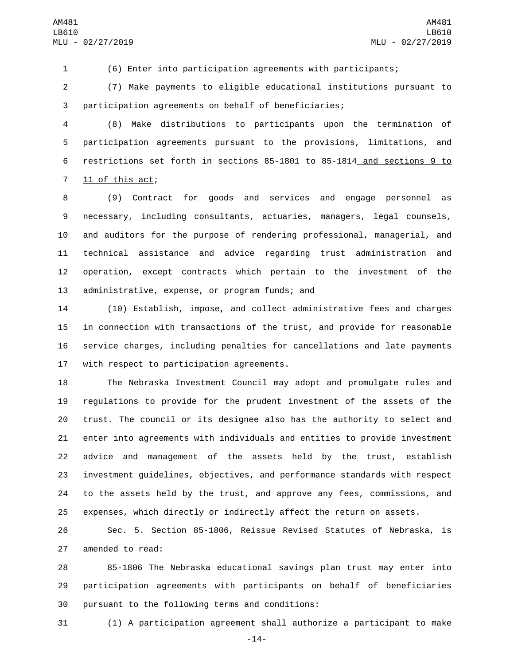(6) Enter into participation agreements with participants;

 (7) Make payments to eligible educational institutions pursuant to participation agreements on behalf of beneficiaries;

 (8) Make distributions to participants upon the termination of participation agreements pursuant to the provisions, limitations, and restrictions set forth in sections 85-1801 to 85-1814 and sections 9 to 11 of this act;

 (9) Contract for goods and services and engage personnel as necessary, including consultants, actuaries, managers, legal counsels, and auditors for the purpose of rendering professional, managerial, and technical assistance and advice regarding trust administration and operation, except contracts which pertain to the investment of the 13 administrative, expense, or program funds; and

 (10) Establish, impose, and collect administrative fees and charges in connection with transactions of the trust, and provide for reasonable service charges, including penalties for cancellations and late payments 17 with respect to participation agreements.

 The Nebraska Investment Council may adopt and promulgate rules and regulations to provide for the prudent investment of the assets of the trust. The council or its designee also has the authority to select and enter into agreements with individuals and entities to provide investment advice and management of the assets held by the trust, establish investment guidelines, objectives, and performance standards with respect to the assets held by the trust, and approve any fees, commissions, and expenses, which directly or indirectly affect the return on assets.

 Sec. 5. Section 85-1806, Reissue Revised Statutes of Nebraska, is 27 amended to read:

 85-1806 The Nebraska educational savings plan trust may enter into participation agreements with participants on behalf of beneficiaries 30 pursuant to the following terms and conditions:

(1) A participation agreement shall authorize a participant to make

-14-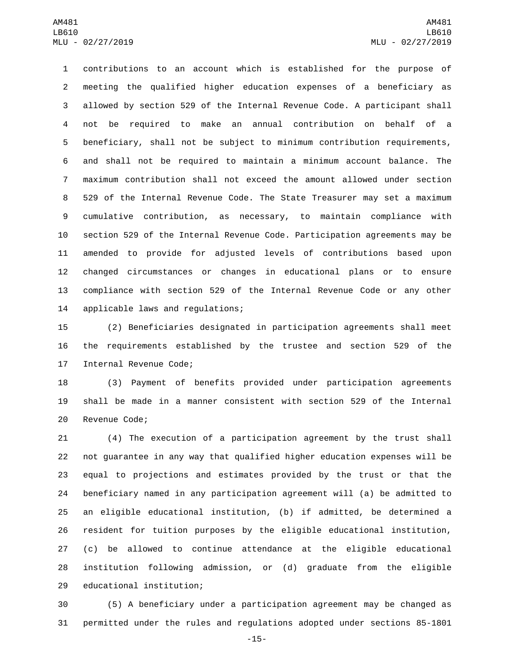contributions to an account which is established for the purpose of meeting the qualified higher education expenses of a beneficiary as allowed by section 529 of the Internal Revenue Code. A participant shall not be required to make an annual contribution on behalf of a beneficiary, shall not be subject to minimum contribution requirements, and shall not be required to maintain a minimum account balance. The maximum contribution shall not exceed the amount allowed under section 529 of the Internal Revenue Code. The State Treasurer may set a maximum cumulative contribution, as necessary, to maintain compliance with section 529 of the Internal Revenue Code. Participation agreements may be amended to provide for adjusted levels of contributions based upon changed circumstances or changes in educational plans or to ensure compliance with section 529 of the Internal Revenue Code or any other 14 applicable laws and regulations;

 (2) Beneficiaries designated in participation agreements shall meet the requirements established by the trustee and section 529 of the 17 Internal Revenue Code;

 (3) Payment of benefits provided under participation agreements shall be made in a manner consistent with section 529 of the Internal 20 Revenue Code;

 (4) The execution of a participation agreement by the trust shall not guarantee in any way that qualified higher education expenses will be equal to projections and estimates provided by the trust or that the beneficiary named in any participation agreement will (a) be admitted to an eligible educational institution, (b) if admitted, be determined a resident for tuition purposes by the eligible educational institution, (c) be allowed to continue attendance at the eligible educational institution following admission, or (d) graduate from the eligible 29 educational institution;

 (5) A beneficiary under a participation agreement may be changed as permitted under the rules and regulations adopted under sections 85-1801

-15-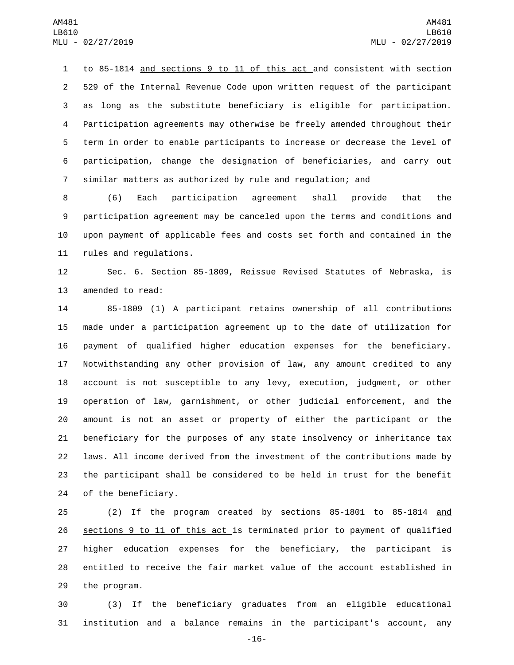to 85-1814 and sections 9 to 11 of this act and consistent with section 529 of the Internal Revenue Code upon written request of the participant as long as the substitute beneficiary is eligible for participation. Participation agreements may otherwise be freely amended throughout their term in order to enable participants to increase or decrease the level of participation, change the designation of beneficiaries, and carry out similar matters as authorized by rule and regulation; and

 (6) Each participation agreement shall provide that the participation agreement may be canceled upon the terms and conditions and upon payment of applicable fees and costs set forth and contained in the 11 rules and regulations.

 Sec. 6. Section 85-1809, Reissue Revised Statutes of Nebraska, is 13 amended to read:

 85-1809 (1) A participant retains ownership of all contributions made under a participation agreement up to the date of utilization for payment of qualified higher education expenses for the beneficiary. Notwithstanding any other provision of law, any amount credited to any account is not susceptible to any levy, execution, judgment, or other operation of law, garnishment, or other judicial enforcement, and the amount is not an asset or property of either the participant or the beneficiary for the purposes of any state insolvency or inheritance tax laws. All income derived from the investment of the contributions made by the participant shall be considered to be held in trust for the benefit 24 of the beneficiary.

 (2) If the program created by sections 85-1801 to 85-1814 and sections 9 to 11 of this act is terminated prior to payment of qualified higher education expenses for the beneficiary, the participant is entitled to receive the fair market value of the account established in 29 the program.

 (3) If the beneficiary graduates from an eligible educational institution and a balance remains in the participant's account, any

-16-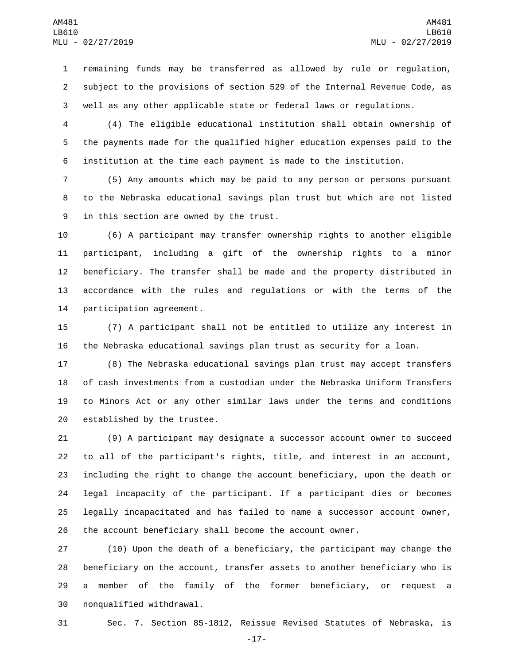remaining funds may be transferred as allowed by rule or regulation, subject to the provisions of section 529 of the Internal Revenue Code, as well as any other applicable state or federal laws or regulations.

 (4) The eligible educational institution shall obtain ownership of the payments made for the qualified higher education expenses paid to the institution at the time each payment is made to the institution.

 (5) Any amounts which may be paid to any person or persons pursuant to the Nebraska educational savings plan trust but which are not listed 9 in this section are owned by the trust.

 (6) A participant may transfer ownership rights to another eligible participant, including a gift of the ownership rights to a minor beneficiary. The transfer shall be made and the property distributed in accordance with the rules and regulations or with the terms of the 14 participation agreement.

 (7) A participant shall not be entitled to utilize any interest in the Nebraska educational savings plan trust as security for a loan.

 (8) The Nebraska educational savings plan trust may accept transfers of cash investments from a custodian under the Nebraska Uniform Transfers to Minors Act or any other similar laws under the terms and conditions 20 established by the trustee.

 (9) A participant may designate a successor account owner to succeed to all of the participant's rights, title, and interest in an account, including the right to change the account beneficiary, upon the death or legal incapacity of the participant. If a participant dies or becomes legally incapacitated and has failed to name a successor account owner, the account beneficiary shall become the account owner.

 (10) Upon the death of a beneficiary, the participant may change the beneficiary on the account, transfer assets to another beneficiary who is a member of the family of the former beneficiary, or request a 30 nonqualified withdrawal.

Sec. 7. Section 85-1812, Reissue Revised Statutes of Nebraska, is

-17-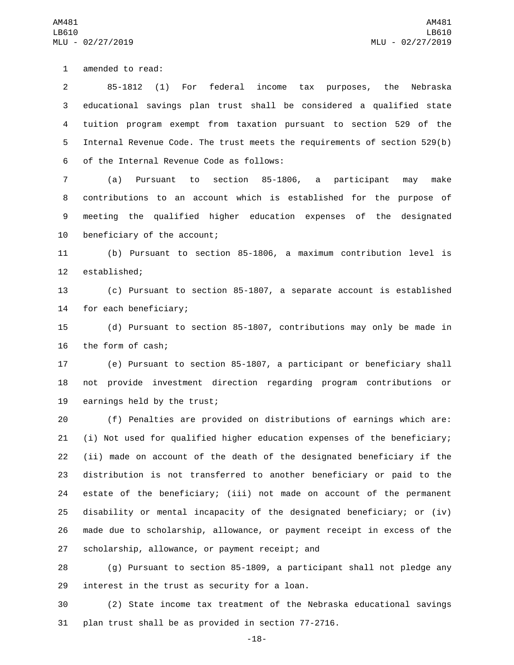1 amended to read:

 85-1812 (1) For federal income tax purposes, the Nebraska educational savings plan trust shall be considered a qualified state tuition program exempt from taxation pursuant to section 529 of the Internal Revenue Code. The trust meets the requirements of section 529(b) 6 of the Internal Revenue Code as follows:

 (a) Pursuant to section 85-1806, a participant may make contributions to an account which is established for the purpose of meeting the qualified higher education expenses of the designated 10 beneficiary of the account;

11 (b) Pursuant to section 85-1806, a maximum contribution level is 12 established;

13 (c) Pursuant to section 85-1807, a separate account is established 14 for each beneficiary;

15 (d) Pursuant to section 85-1807, contributions may only be made in 16 the form of cash;

17 (e) Pursuant to section 85-1807, a participant or beneficiary shall 18 not provide investment direction regarding program contributions or 19 earnings held by the trust;

 (f) Penalties are provided on distributions of earnings which are: (i) Not used for qualified higher education expenses of the beneficiary; (ii) made on account of the death of the designated beneficiary if the distribution is not transferred to another beneficiary or paid to the estate of the beneficiary; (iii) not made on account of the permanent disability or mental incapacity of the designated beneficiary; or (iv) made due to scholarship, allowance, or payment receipt in excess of the 27 scholarship, allowance, or payment receipt; and

28 (g) Pursuant to section 85-1809, a participant shall not pledge any 29 interest in the trust as security for a loan.

30 (2) State income tax treatment of the Nebraska educational savings 31 plan trust shall be as provided in section 77-2716.

-18-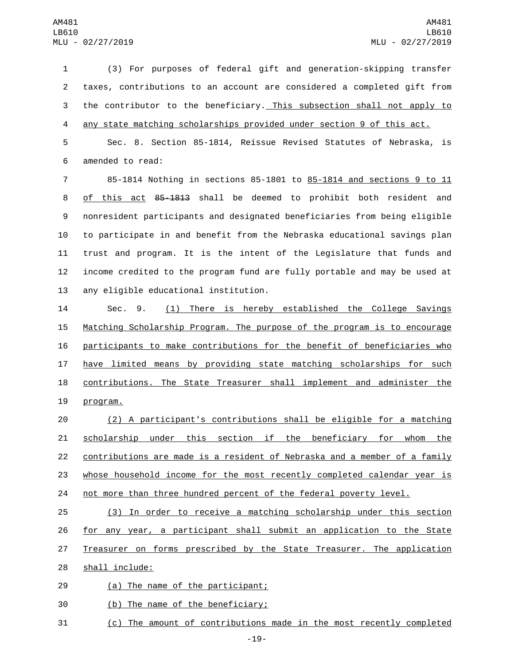(3) For purposes of federal gift and generation-skipping transfer taxes, contributions to an account are considered a completed gift from the contributor to the beneficiary. This subsection shall not apply to any state matching scholarships provided under section 9 of this act.

 Sec. 8. Section 85-1814, Reissue Revised Statutes of Nebraska, is 6 amended to read:

 85-1814 Nothing in sections 85-1801 to 85-1814 and sections 9 to 11 of this act 85-1813 shall be deemed to prohibit both resident and nonresident participants and designated beneficiaries from being eligible to participate in and benefit from the Nebraska educational savings plan trust and program. It is the intent of the Legislature that funds and income credited to the program fund are fully portable and may be used at 13 any eligible educational institution.

 Sec. 9. (1) There is hereby established the College Savings Matching Scholarship Program. The purpose of the program is to encourage participants to make contributions for the benefit of beneficiaries who have limited means by providing state matching scholarships for such contributions. The State Treasurer shall implement and administer the 19 program.

 (2) A participant's contributions shall be eligible for a matching 21 scholarship under this section if the beneficiary for whom the contributions are made is a resident of Nebraska and a member of a family whose household income for the most recently completed calendar year is 24 not more than three hundred percent of the federal poverty level.

 (3) In order to receive a matching scholarship under this section for any year, a participant shall submit an application to the State Treasurer on forms prescribed by the State Treasurer. The application 28 shall include:

29 (a) The name of the participant;

30 (b) The name of the beneficiary;

(c) The amount of contributions made in the most recently completed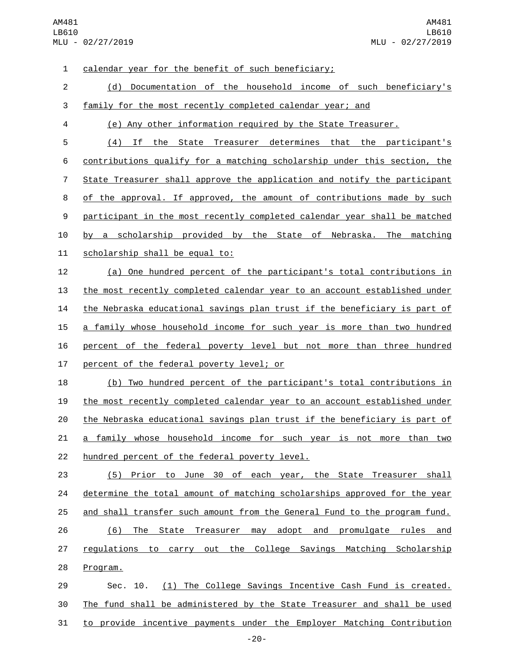| $\mathbf 1$    | <u>calendar year for the benefit of such beneficiary;</u>                 |
|----------------|---------------------------------------------------------------------------|
| $\overline{c}$ | (d) Documentation of the household income of such beneficiary's           |
| 3              | family for the most recently completed calendar year; and                 |
| 4              | (e) Any other information required by the State Treasurer.                |
| 5              | (4) If the State Treasurer determines that the participant's              |
| 6              | contributions qualify for a matching scholarship under this section, the  |
| 7              | State Treasurer shall approve the application and notify the participant  |
| 8              | of the approval. If approved, the amount of contributions made by such    |
| 9              | participant in the most recently completed calendar year shall be matched |
| 10             | by a scholarship provided by the State of Nebraska. The matching          |
| 11             | scholarship shall be equal to:                                            |
| 12             | (a) One hundred percent of the participant's total contributions in       |
| 13             | the most recently completed calendar year to an account established under |
| 14             | the Nebraska educational savings plan trust if the beneficiary is part of |
| 15             | a family whose household income for such year is more than two hundred    |
| 16             | percent of the federal poverty level but not more than three hundred      |
| 17             | percent of the federal poverty level; or                                  |
| 18             | (b) Two hundred percent of the participant's total contributions in       |
| 19             | the most recently completed calendar year to an account established under |
| 20             | the Nebraska educational savings plan trust if the beneficiary is part of |
| 21             | a family whose household income for such year is not more than two        |
| 22             | hundred percent of the federal poverty level.                             |
| 23             | (5) Prior to June 30 of each year, the State Treasurer shall              |
| 24             | determine the total amount of matching scholarships approved for the year |
| 25             | and shall transfer such amount from the General Fund to the program fund. |
| 26             | (6) The State Treasurer may adopt and promulgate rules and                |
| 27             | regulations to carry out the College Savings Matching Scholarship         |
| 28             | Program.                                                                  |
| 29             | (1) The College Savings Incentive Cash Fund is created.<br>Sec. 10.       |
| 30             | The fund shall be administered by the State Treasurer and shall be used   |
| 31             | to provide incentive payments under the Employer Matching Contribution    |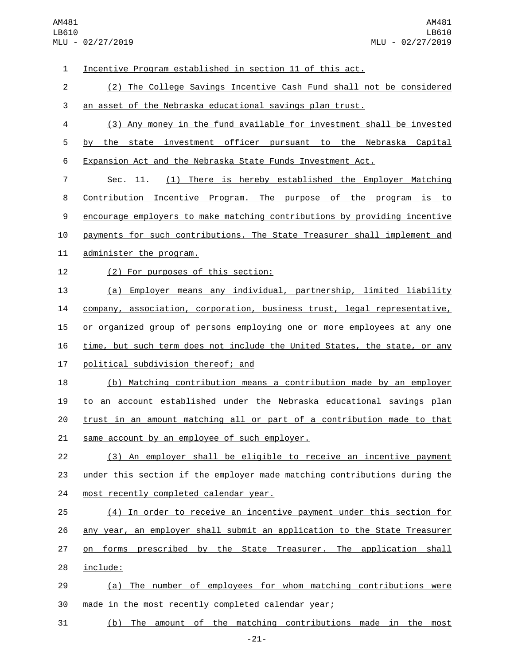Incentive Program established in section 11 of this act. (2) The College Savings Incentive Cash Fund shall not be considered an asset of the Nebraska educational savings plan trust. (3) Any money in the fund available for investment shall be invested by the state investment officer pursuant to the Nebraska Capital Expansion Act and the Nebraska State Funds Investment Act. Sec. 11. (1) There is hereby established the Employer Matching Contribution Incentive Program. The purpose of the program is to encourage employers to make matching contributions by providing incentive payments for such contributions. The State Treasurer shall implement and 11 administer the program. 12 (2) For purposes of this section: (a) Employer means any individual, partnership, limited liability company, association, corporation, business trust, legal representative, 15 or organized group of persons employing one or more employees at any one time, but such term does not include the United States, the state, or any 17 political subdivision thereof; and (b) Matching contribution means a contribution made by an employer to an account established under the Nebraska educational savings plan trust in an amount matching all or part of a contribution made to that 21 same account by an employee of such employer. (3) An employer shall be eligible to receive an incentive payment under this section if the employer made matching contributions during the 24 most recently completed calendar year. (4) In order to receive an incentive payment under this section for 26 any year, an employer shall submit an application to the State Treasurer 27 on forms prescribed by the State Treasurer. The application shall 28 include: (a) The number of employees for whom matching contributions were made in the most recently completed calendar year; (b) The amount of the matching contributions made in the most